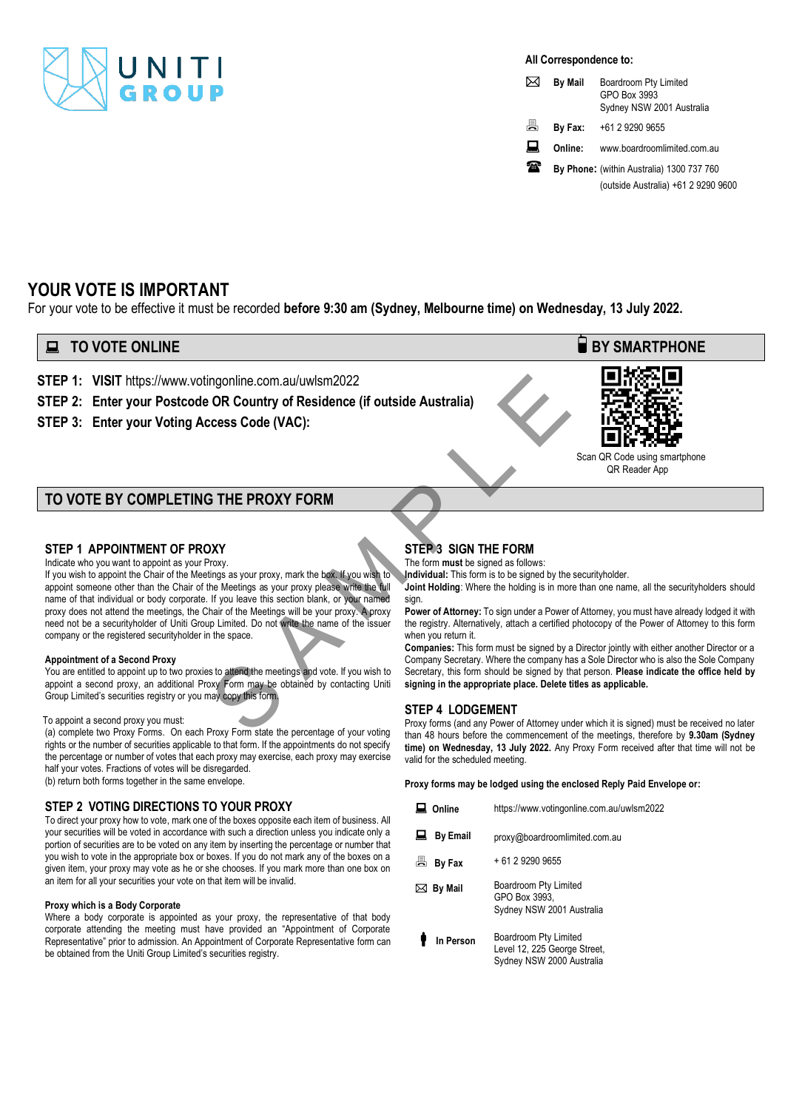

### **All Correspondence to:**

| ⊠ | <b>By Mail</b> | Boardroom Pty Limited<br>GPO Box 3993<br>Sydney NSW 2001 Australia |  |
|---|----------------|--------------------------------------------------------------------|--|
| 昌 | By Fax:        | +61 2 9290 9655                                                    |  |
| ᇦ | Online:        | www.boardroomlimited.com.au                                        |  |
| 価 |                | By Phone: (within Australia) 1300 737 760                          |  |

(outside Australia) +61 2 9290 9600

# **YOUR VOTE IS IMPORTANT**

For your vote to be effective it must be recorded **before 9:30 am (Sydney, Melbourne time) on Wednesday, 13 July 2022.**

## **TO VOTE ONLINE BY SMARTPHONE**

**STEP 1: VISIT** https://www.votingonline.com.au/uwlsm2022

## **STEP 2: Enter your Postcode OR Country of Residence (if outside Australia)**

**STEP 3: Enter your Voting Access Code (VAC):**



 Scan QR Code using smartphone QR Reader App

## **TO VOTE BY COMPLETING THE PROXY FORM**

### **STEP 1 APPOINTMENT OF PROXY**

Indicate who you want to appoint as your Proxy.

If you wish to appoint the Chair of the Meetings as your proxy, mark the box. If you wish to appoint someone other than the Chair of the Meetings as your proxy please write the full name of that individual or body corporate. If you leave this section blank, or your named proxy does not attend the meetings, the Chair of the Meetings will be your proxy. A proxy need not be a securityholder of Uniti Group Limited. Do not write the name of the issuer company or the registered securityholder in the space. many online.com.au/uwlsm2022<br>
OR Country of Residence (if outside Australia)<br>
STEP 3 SIGN THE FORM<br>
STEP 3 SIGN THE FORM<br>
STEP 3 SIGN THE FORM<br>
STEP 3 SIGN THE FORM<br>
The form must be signed as follows:<br>
tings as your proxy

### **Appointment of a Second Proxy**

You are entitled to appoint up to two proxies to attend the meetings and vote. If you wish to appoint a second proxy, an additional Proxy Form may be obtained by contacting Uniti Group Limited's securities registry or you may copy this form.

### To appoint a second proxy you must:

(a) complete two Proxy Forms. On each Proxy Form state the percentage of your voting rights or the number of securities applicable to that form. If the appointments do not specify the percentage or number of votes that each proxy may exercise, each proxy may exercise half your votes. Fractions of votes will be disregarded. (b) return both forms together in the same envelope.

an item for all your securities your vote on that item will be invalid.

**STEP 2 VOTING DIRECTIONS TO YOUR PROXY** To direct your proxy how to vote, mark one of the boxes opposite each item of business. All your securities will be voted in accordance with such a direction unless you indicate only a portion of securities are to be voted on any item by inserting the percentage or number that you wish to vote in the appropriate box or boxes. If you do not mark any of the boxes on a given item, your proxy may vote as he or she chooses. If you mark more than one box on

### **Proxy which is a Body Corporate**

Where a body corporate is appointed as your proxy, the representative of that body corporate attending the meeting must have provided an "Appointment of Corporate Representative" prior to admission. An Appointment of Corporate Representative form can be obtained from the Uniti Group Limited's securities registry.

## **STEP 3 SIGN THE FORM**

The form **must** be signed as follows:

**Individual:** This form is to be signed by the securityholder.

**Joint Holding**: Where the holding is in more than one name, all the securityholders should sign.

**Power of Attorney:** To sign under a Power of Attorney, you must have already lodged it with the registry. Alternatively, attach a certified photocopy of the Power of Attorney to this form when you return it.

**Companies:** This form must be signed by a Director jointly with either another Director or a Company Secretary. Where the company has a Sole Director who is also the Sole Company Secretary, this form should be signed by that person. **Please indicate the office held by signing in the appropriate place. Delete titles as applicable.** 

### **STEP 4 LODGEMENT**

Proxy forms (and any Power of Attorney under which it is signed) must be received no later than 48 hours before the commencement of the meetings, therefore by **9.30am (Sydney time) on Wednesday, 13 July 2022.** Any Proxy Form received after that time will not be valid for the scheduled meeting.

**Proxy forms may be lodged using the enclosed Reply Paid Envelope or:**

| Online          | https://www.votingonline.com.au/uwlsm2022                                          |
|-----------------|------------------------------------------------------------------------------------|
| <b>By Email</b> | proxy@boardroomlimited.com.au                                                      |
| ā<br>By Fax     | + 61 2 9290 9655                                                                   |
| By Mail<br>⊠    | Boardroom Pty Limited<br>GPO Box 3993.<br>Sydney NSW 2001 Australia                |
| In Person       | Boardroom Pty Limited<br>Level 12, 225 George Street,<br>Sydney NSW 2000 Australia |